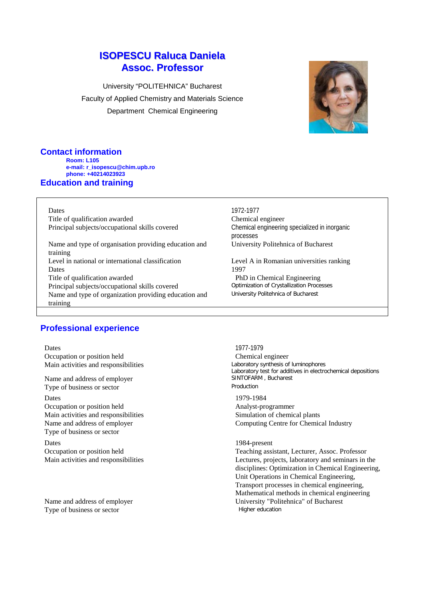# **ISOPESCU Raluca Daniela Assoc. Professor**

University "POLITEHNICA" Bucharest Faculty of Applied Chemistry and Materials Science Department Chemical Engineering



#### **Contact information Room: L105 e-mail: r\_isopescu@chim.upb.ro phone: +40214023923 Education and training**

Dates 1972-1977

Title of qualification awarded Chemical engineer<br>
Principal subjects/occupational skills covered Chemical engineerine

Name and type of organisation providing education and training Level in national or international classification Level A in Romanian universities ranking Dates 1997 Title of qualification awarded<br>
PhD in Chemical Engineering<br>
Principal subjects/occupational skills covered<br>
Optimization of Crystallization Processes Principal subjects/occupational skills covered Name and type of organization providing education and training

Chemical engineering specialized in inorganic processes University Politehnica of Bucharest

University Politehnica of Bucharest

# **Professional experience**

Dates 1977-1979 Main activities and responsibilities

Name and address of employer SINTOFARM SINTOFARM SINTOFARM SINTOFARM , Bucharest Contract Contract Contract Contract Contract Contract Contract Contract Contract Contract Contract Contract Contract Contract Contract Contra Type of business or sector

Dates 1979-1984 Occupation or position held Analyst-programmer Main activities and responsibilities Simulation of chemical plants Type of business or sector

Dates 1984-present

Type of business or sector Higher education

Occupation or position held<br>
Main activities and responsibilities<br>
Main activities and responsibilities<br>
Chemical engineer<br>
Laboratory synthesis of luminophores Laboratory test for additives in electrochemical depositions<br>SINTOFARM, Bucharest

Name and address of employer Computing Centre for Chemical Industry

Occupation or position held Teaching assistant, Lecturer, Assoc. Professor Main activities and responsibilities **Lectures**, projects, laboratory and seminars in the disciplines: Optimization in Chemical Engineering, Unit Operations in Chemical Engineering, Transport processes in chemical engineering, Mathematical methods in chemical engineering Name and address of employer University "Politehnica" of Bucharest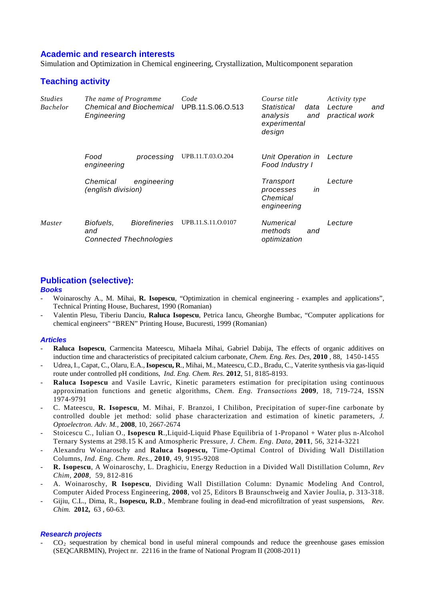### **Academic and research interests**

Simulation and Optimization in Chemical engineering, Crystallization, Multicomponent separation

## **Teaching activity**

| <b>Studies</b><br><b>Bachelor</b> | The name of Programme<br><b>Chemical and Biochemical</b><br>Engineering |                                                        | Code<br>UPB.11.S.06.O.513 | Course title<br>Statistical<br>data<br>analysis<br>and<br>experimental<br>design | Activity type<br>Lecture<br>and<br>practical work |
|-----------------------------------|-------------------------------------------------------------------------|--------------------------------------------------------|---------------------------|----------------------------------------------------------------------------------|---------------------------------------------------|
|                                   | Food<br>engineering                                                     | processing                                             | UPB.11.T.03.O.204         | Unit Operation in<br>Food Industry I                                             | Lecture                                           |
|                                   | Chemical<br>(english division)                                          | engineering                                            |                           | Transport<br>in<br>processes<br>Chemical<br>engineering                          | Lecture                                           |
| <i>Master</i>                     | Biofuels,<br>and                                                        | <b>Biorefineries</b><br><b>Connected Thechnologies</b> | UPB.11.S.11.O.0107        | Numerical<br>methods<br>and<br>optimization                                      | Lecture                                           |

## **Publication (selective):**

### *Books*

- Woinaroschy A., M. Mihai, **R. Isopescu**, "Optimization in chemical engineering examples and applications", Technical Printing House, Bucharest, 1990 (Romanian)
- Valentin Plesu, Tiberiu Danciu, **Raluca Isopescu**, Petrica Iancu, Gheorghe Bumbac, "Computer applications for chemical engineers" "BREN" Printing House, Bucuresti, 1999 (Romanian)

### *Articles*

- **Raluca Isopescu**, Carmencita Mateescu, Mihaela Mihai, Gabriel Dabija, The effects of organic additives on induction time and characteristics of precipitated calcium carbonate, *Chem. Eng. Res. Des,* **2010** *,* 88*,* 1450-1455
- Udrea, I., Capat, C., Olaru, E.A., **Isopescu, R**., Mihai, M., Mateescu, C.D., Bradu, C., Vaterite synthesis via gas-liquid route under controlled pH conditions, *Ind. Eng. Chem. Res*. **2012**, 51, 8185-8193.
- **Raluca Isopescu** and Vasile Lavric, Kinetic parameters estimation for precipitation using continuous approximation functions and genetic algorithms, *Chem. Eng. Transactions* **2009**, 18, 719-724, ISSN 1974-9791
- C. Mateescu, **R. Isopescu**, M. Mihai, F. Branzoi, I Chilibon, Precipitation of super-fine carbonate by controlled double jet method: solid phase characterization and estimation of kinetic parameters, *J. Optoelectron. Adv. M.,* **2008**, 10, 2667-2674
- Stoicescu C., Iulian O., **Isopescu R**.,Liquid-Liquid Phase Equilibria of 1-Propanol + Water plus n-Alcohol Ternary Systems at 298.15 K and Atmospheric Pressure*, J. Chem. Eng. Data*, **2011**, 56, 3214-3221
- Alexandru Woinaroschy and **Raluca Isopescu,** Time-Optimal Control of Dividing Wall Distillation Columns, *Ind. Eng. Chem. Res.*, **2010**, 49, 9195-9208
- **R. Isopescu**, A Woinaroschy, L. Draghiciu, Energy Reduction in a Divided Wall Distillation Column, *Rev Chim, 2008,* 59, 812-816
- A. Woinaroschy, **R Isopescu**, Dividing Wall Distillation Column: Dynamic Modeling And Control, Computer Aided Process Engineering, **2008**, vol 25, Editors B Braunschweig and Xavier Joulia, p. 313-318.
- Gijiu, C.L., Dima, R., **Isopescu, R.D**., Membrane fouling in dead-end microfiltration of yeast suspensions, *Rev. Chim.* **2012,** 63 , 60-63.

### *Research projects*

 $CO<sub>2</sub>$  sequestration by chemical bond in useful mineral compounds and reduce the greenhouse gases emission (SEQCARBMIN), Project nr. 22116 in the frame of National Program II (2008-2011)